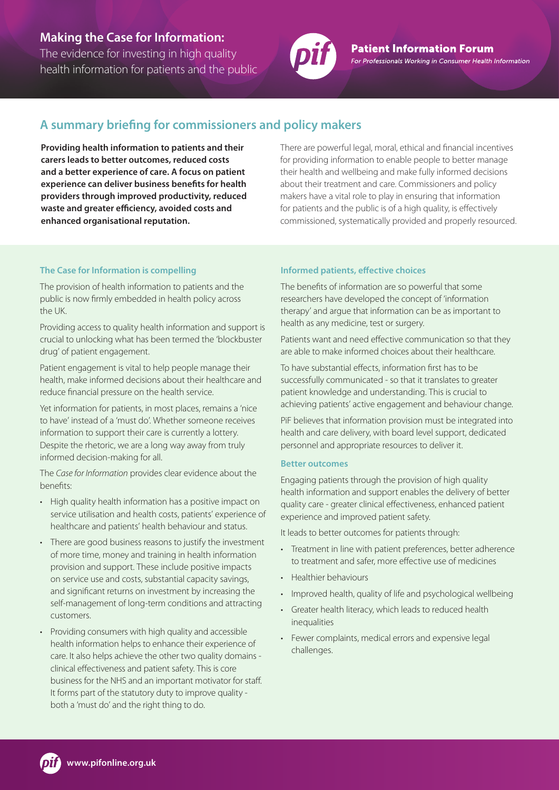# **Making the Case for Information:**

The evidence for investing in high quality health information for patients and the public



**Patient Information Forum** For Professionals Working in Consumer Health Information

# **A summary briefing for commissioners and policy makers**

**Providing health information to patients and their carers leads to better outcomes, reduced costs and a better experience of care. A focus on patient experience can deliver business benefits for health providers through improved productivity, reduced waste and greater efficiency, avoided costs and enhanced organisational reputation.**

There are powerful legal, moral, ethical and financial incentives for providing information to enable people to better manage their health and wellbeing and make fully informed decisions about their treatment and care. Commissioners and policy makers have a vital role to play in ensuring that information for patients and the public is of a high quality, is effectively commissioned, systematically provided and properly resourced.

## **The Case for Information is compelling**

The provision of health information to patients and the public is now firmly embedded in health policy across the UK.

Providing access to quality health information and support is crucial to unlocking what has been termed the 'blockbuster drug' of patient engagement.

Patient engagement is vital to help people manage their health, make informed decisions about their healthcare and reduce financial pressure on the health service.

Yet information for patients, in most places, remains a 'nice to have' instead of a 'must do'. Whether someone receives information to support their care is currently a lottery. Despite the rhetoric, we are a long way away from truly informed decision-making for all.

The *Case for Information* provides clear evidence about the benefits:

- High quality health information has a positive impact on service utilisation and health costs, patients' experience of healthcare and patients' health behaviour and status.
- There are good business reasons to justify the investment of more time, money and training in health information provision and support. These include positive impacts on service use and costs, substantial capacity savings, and significant returns on investment by increasing the self-management of long-term conditions and attracting customers.
- Providing consumers with high quality and accessible health information helps to enhance their experience of care. It also helps achieve the other two quality domains clinical effectiveness and patient safety. This is core business for the NHS and an important motivator for staff. It forms part of the statutory duty to improve quality both a 'must do' and the right thing to do.

## **Informed patients, effective choices**

The benefits of information are so powerful that some researchers have developed the concept of 'information therapy' and argue that information can be as important to health as any medicine, test or surgery.

Patients want and need effective communication so that they are able to make informed choices about their healthcare.

To have substantial effects, information first has to be successfully communicated - so that it translates to greater patient knowledge and understanding. This is crucial to achieving patients' active engagement and behaviour change.

PiF believes that information provision must be integrated into health and care delivery, with board level support, dedicated personnel and appropriate resources to deliver it.

### **Better outcomes**

Engaging patients through the provision of high quality health information and support enables the delivery of better quality care - greater clinical effectiveness, enhanced patient experience and improved patient safety.

It leads to better outcomes for patients through:

- Treatment in line with patient preferences, better adherence to treatment and safer, more effective use of medicines
- Healthier behaviours
- Improved health, quality of life and psychological wellbeing
- Greater health literacy, which leads to reduced health inequalities
- Fewer complaints, medical errors and expensive legal challenges.